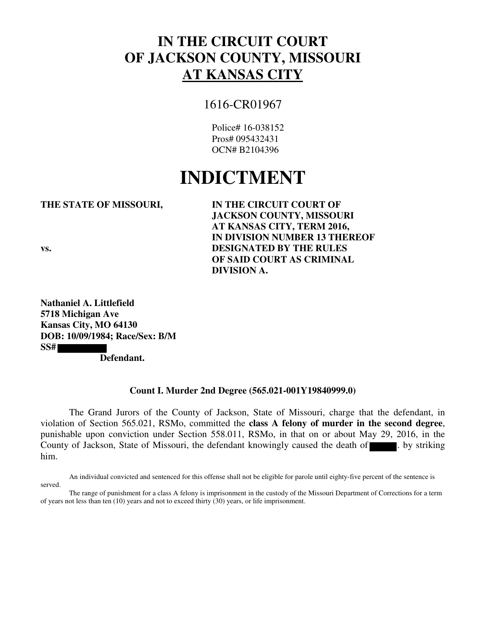## **IN THE CIRCUIT COURT OF JACKSON COUNTY, MISSOURI AT KANSAS CITY**

### 1616-CR01967

Police# 16-038152 Pros# 095432431 OCN# B2104396

# **INDICTMENT**

#### **THE STATE OF MISSOURI, IN THE CIRCUIT COURT OF**

**JACKSON COUNTY, MISSOURI AT KANSAS CITY, TERM 2016, IN DIVISION NUMBER 13 THEREOF vs. DESIGNATED BY THE RULES OF SAID COURT AS CRIMINAL DIVISION A.** 

**Nathaniel A. Littlefield 5718 Michigan Ave Kansas City, MO 64130 DOB: 10/09/1984; Race/Sex: B/M SS#** 

 **Defendant.** 

#### **Count I. Murder 2nd Degree (565.021-001Y19840999.0)**

The Grand Jurors of the County of Jackson, State of Missouri, charge that the defendant, in violation of Section 565.021, RSMo, committed the **class A felony of murder in the second degree**, punishable upon conviction under Section 558.011, RSMo, in that on or about May 29, 2016, in the County of Jackson, State of Missouri, the defendant knowingly caused the death of  $\blacksquare$ . by striking him.

An individual convicted and sentenced for this offense shall not be eligible for parole until eighty-five percent of the sentence is served.

The range of punishment for a class A felony is imprisonment in the custody of the Missouri Department of Corrections for a term of years not less than ten (10) years and not to exceed thirty (30) years, or life imprisonment.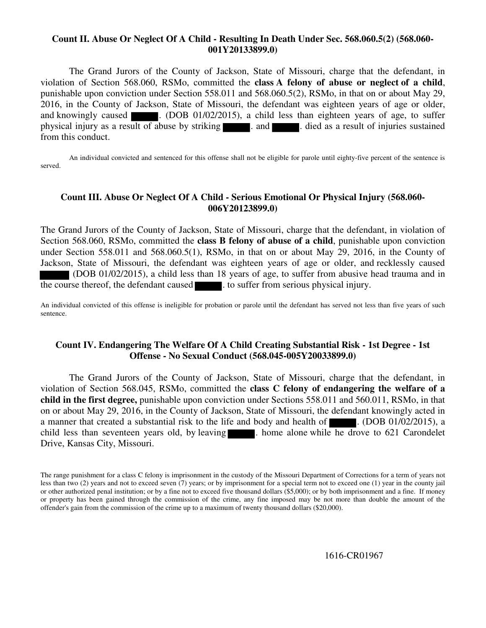#### **Count II. Abuse Or Neglect Of A Child - Resulting In Death Under Sec. 568.060.5(2) (568.060- 001Y20133899.0)**

The Grand Jurors of the County of Jackson, State of Missouri, charge that the defendant, in violation of Section 568.060, RSMo, committed the **class A felony of abuse or neglect of a child**, punishable upon conviction under Section 558.011 and 568.060.5(2), RSMo, in that on or about May 29, 2016, in the County of Jackson, State of Missouri, the defendant was eighteen years of age or older, and knowingly caused  $\blacksquare$ . (DOB 01/02/2015), a child less than eighteen years of age, to suffer physical injury as a result of abuse by striking . and . died as a result of injuries sustained from this conduct.

 An individual convicted and sentenced for this offense shall not be eligible for parole until eighty-five percent of the sentence is served.

#### **Count III. Abuse Or Neglect Of A Child - Serious Emotional Or Physical Injury (568.060- 006Y20123899.0)**

The Grand Jurors of the County of Jackson, State of Missouri, charge that the defendant, in violation of Section 568.060, RSMo, committed the **class B felony of abuse of a child**, punishable upon conviction under Section 558.011 and 568.060.5(1), RSMo, in that on or about May 29, 2016, in the County of Jackson, State of Missouri, the defendant was eighteen years of age or older, and recklessly caused (DOB 01/02/2015), a child less than 18 years of age, to suffer from abusive head trauma and in the course thereof, the defendant caused  $\blacksquare$ . to suffer from serious physical injury.

An individual convicted of this offense is ineligible for probation or parole until the defendant has served not less than five years of such sentence.

#### **Count IV. Endangering The Welfare Of A Child Creating Substantial Risk - 1st Degree - 1st Offense - No Sexual Conduct (568.045-005Y20033899.0)**

The Grand Jurors of the County of Jackson, State of Missouri, charge that the defendant, in violation of Section 568.045, RSMo, committed the **class C felony of endangering the welfare of a child in the first degree,** punishable upon conviction under Sections 558.011 and 560.011, RSMo, in that on or about May 29, 2016, in the County of Jackson, State of Missouri, the defendant knowingly acted in a manner that created a substantial risk to the life and body and health of  $\Box$ . (DOB 01/02/2015), a child less than seventeen years old, by leaving . home alone while he drove to 621 Carondelet Drive, Kansas City, Missouri.

1616-CR01967

The range punishment for a class C felony is imprisonment in the custody of the Missouri Department of Corrections for a term of years not less than two (2) years and not to exceed seven (7) years; or by imprisonment for a special term not to exceed one (1) year in the county jail or other authorized penal institution; or by a fine not to exceed five thousand dollars (\$5,000); or by both imprisonment and a fine. If money or property has been gained through the commission of the crime, any fine imposed may be not more than double the amount of the offender's gain from the commission of the crime up to a maximum of twenty thousand dollars (\$20,000).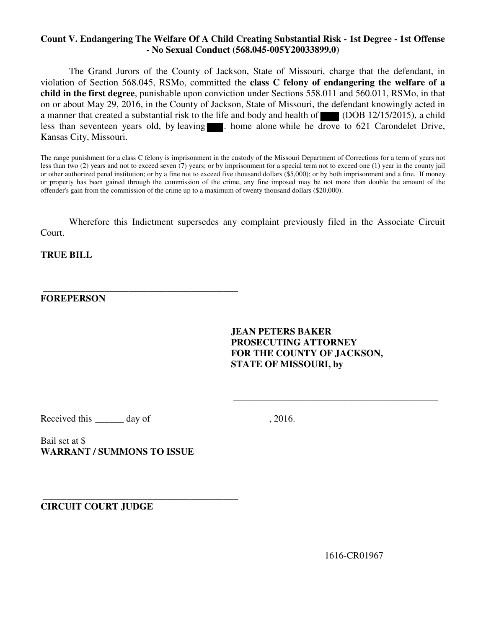#### **Count V. Endangering The Welfare Of A Child Creating Substantial Risk - 1st Degree - 1st Offense - No Sexual Conduct (568.045-005Y20033899.0)**

The Grand Jurors of the County of Jackson, State of Missouri, charge that the defendant, in violation of Section 568.045, RSMo, committed the **class C felony of endangering the welfare of a child in the first degree**, punishable upon conviction under Sections 558.011 and 560.011, RSMo, in that on or about May 29, 2016, in the County of Jackson, State of Missouri, the defendant knowingly acted in a manner that created a substantial risk to the life and body and health of (DOB 12/15/2015), a child less than seventeen years old, by leaving  $\blacksquare$ . home alone while he drove to 621 Carondelet Drive, Kansas City, Missouri.

The range punishment for a class C felony is imprisonment in the custody of the Missouri Department of Corrections for a term of years not less than two (2) years and not to exceed seven (7) years; or by imprisonment for a special term not to exceed one (1) year in the county jail or other authorized penal institution; or by a fine not to exceed five thousand dollars (\$5,000); or by both imprisonment and a fine. If money or property has been gained through the commission of the crime, any fine imposed may be not more than double the amount of the offender's gain from the commission of the crime up to a maximum of twenty thousand dollars (\$20,000).

Wherefore this Indictment supersedes any complaint previously filed in the Associate Circuit Court.

**TRUE BILL** 

#### **FOREPERSON**

**JEAN PETERS BAKER PROSECUTING ATTORNEY FOR THE COUNTY OF JACKSON, STATE OF MISSOURI, by** 

\_\_\_\_\_\_\_\_\_\_\_\_\_\_\_\_\_\_\_\_\_\_\_\_\_\_\_\_\_\_\_\_\_\_\_\_\_\_\_\_\_\_\_

Received this \_\_\_\_\_\_ day of , 2016.

Bail set at \$ **WARRANT / SUMMONS TO ISSUE** 

 **\_\_\_\_\_\_\_\_\_\_\_\_\_\_\_\_\_\_\_\_\_\_\_\_\_\_\_\_\_\_\_\_\_\_\_\_\_\_\_\_\_** 

 **\_\_\_\_\_\_\_\_\_\_\_\_\_\_\_\_\_\_\_\_\_\_\_\_\_\_\_\_\_\_\_\_\_\_\_\_\_\_\_\_\_ CIRCUIT COURT JUDGE** 

1616-CR01967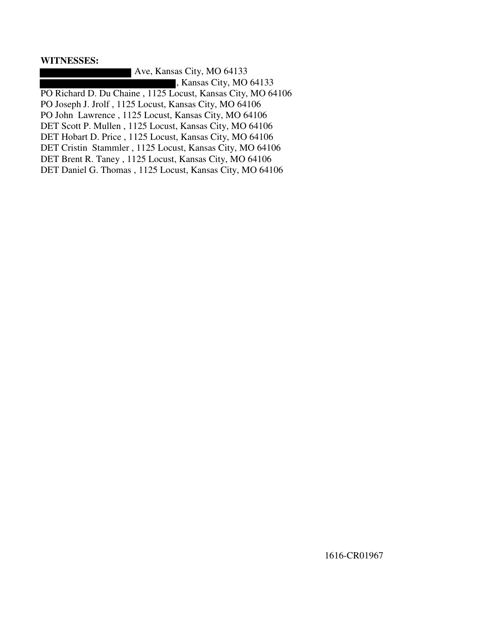#### **WITNESSES:**

 Ave, Kansas City, MO 64133 , Kansas City, MO 64133 PO Richard D. Du Chaine , 1125 Locust, Kansas City, MO 64106 PO Joseph J. Jrolf , 1125 Locust, Kansas City, MO 64106 PO John Lawrence , 1125 Locust, Kansas City, MO 64106 DET Scott P. Mullen , 1125 Locust, Kansas City, MO 64106 DET Hobart D. Price , 1125 Locust, Kansas City, MO 64106 DET Cristin Stammler , 1125 Locust, Kansas City, MO 64106 DET Brent R. Taney , 1125 Locust, Kansas City, MO 64106 DET Daniel G. Thomas , 1125 Locust, Kansas City, MO 64106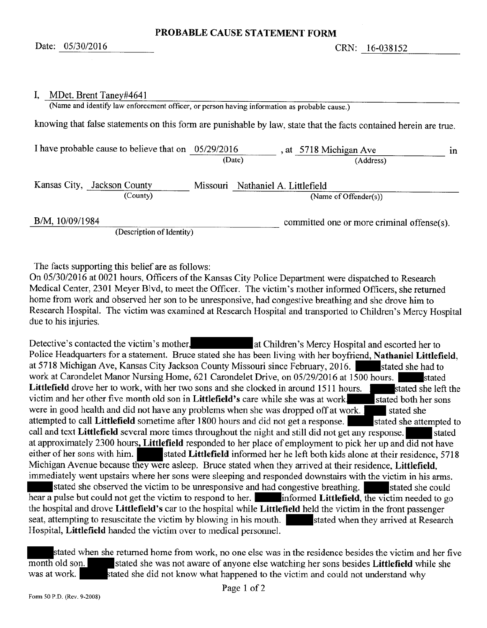#### I, MDet. Brent Taney#4641

(Name and identify law enforcement officer, or person having information as probable cause.) knowing that false statements on this form are punishable by law, state that the facts contained herein are true.

| I have probable cause to believe that on $05/29/2016$ |          | , at 5718 Michigan Ave<br>(Date)<br>(Address)     | in. |
|-------------------------------------------------------|----------|---------------------------------------------------|-----|
| Kansas City, Jackson County<br>(County)               | Missouri | Nathaniel A. Littlefield<br>(Name of Offender(s)) |     |
| B/M, 10/09/1984                                       |          | committed one or more criminal offense(s).        |     |

(Description of Identity)

The facts supporting this belief are as follows:

On 05/30/2016 at 0021 hours, Officers of the Kansas City Police Department were dispatched to Research Medical Center, 2301 Meyer Blvd, to meet the Officer. The victim's mother informed Officers, she returned home from work and observed her son to be unresponsive, had congestive breathing and she drove him to Research Hospital. The victim was examined at Research Hospital and transported to Children's Mercy Hospital due to his injuries.

Detective's contacted the victim's mother, at Children's Mercy Hospital and escorted her to Police Headquarters for a statement. Bruce stated she has been living with her boyfriend, Nathaniel Littlefield, at 5718 Michigan Ave, Kansas City Jackson County Missouri since February, 2016. Stated she had to work at Carondelet Manor Nursing Home, 621 Carondelet Drive, on 05/29/2016 at 1500 hours. stated Littlefield drove her to work, with her two sons and she clocked in around 1511 hours. stated she left the victim and her other five month old son in Littlefield's care while she was at work. stated both her sons were in good health and did not have any problems when she was dropped off at work. stated she attempted to call Littlefield sometime after 1800 hours and did not get a response. stated she attempted to call and text Littlefield several more times throughout the night and still did not get any response. stated at approximately 2300 hours, Littlefield responded to her place of employment to pick her up and did not have either of her sons with him. stated Littlefield informed her he left both kids alone at their residence, 5718 Michigan Avenue because they were asleep. Bruce stated when they arrived at their residence, Littlefield, immediately went upstairs where her sons were sleeping and responded downstairs with the victim in his arms. stated she observed the victim to be unresponsive and had congestive breathing. stated she could hear a pulse but could not get the victim to respond to her. informed **Littlefield**, the victim needed to go the hospital and drove Littlefield's car to the hospital while Littlefield held the victim in the front passenger seat, attempting to resuscitate the victim by blowing in his mouth. stated when they arrived at Research Hospital, Littlefield handed the victim over to medical personnel.

stated when she returned home from work, no one else was in the residence besides the victim and her five stated she was not aware of anyone else watching her sons besides Littlefield while she month old son. was at work. stated she did not know what happened to the victim and could not understand why